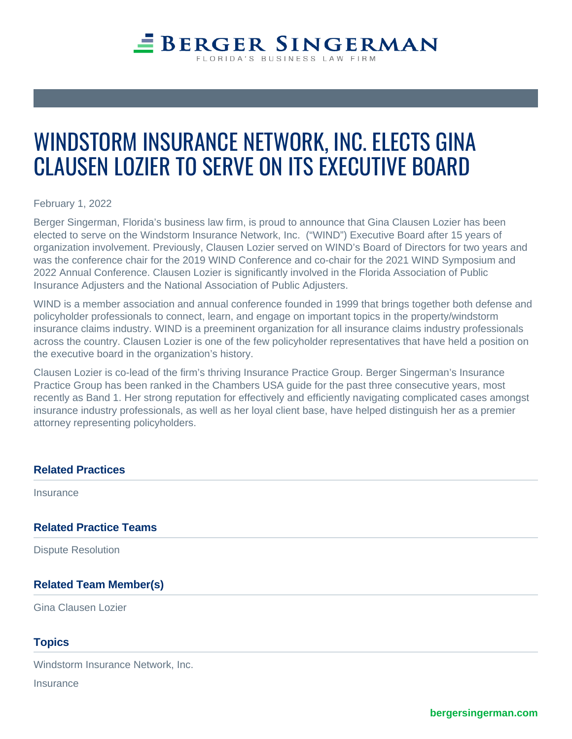# **EBERGER SINGERMAN** LORIDA'S BUSINESS LAW FIRM

# WINDSTORM INSURANCE NETWORK, INC. ELECTS GINA CLAUSEN LOZIER TO SERVE ON ITS EXECUTIVE BOARD

February 1, 2022

Berger Singerman, Florida's business law firm, is proud to announce that Gina Clausen Lozier has been elected to serve on the Windstorm Insurance Network, Inc. ("WIND") Executive Board after 15 years of organization involvement. Previously, Clausen Lozier served on WIND's Board of Directors for two years and was the conference chair for the 2019 WIND Conference and co-chair for the 2021 WIND Symposium and 2022 Annual Conference. Clausen Lozier is significantly involved in the Florida Association of Public Insurance Adjusters and the National Association of Public Adjusters.

WIND is a member association and annual conference founded in 1999 that brings together both defense and policyholder professionals to connect, learn, and engage on important topics in the property/windstorm insurance claims industry. WIND is a preeminent organization for all insurance claims industry professionals across the country. Clausen Lozier is one of the few policyholder representatives that have held a position on the executive board in the organization's history.

Clausen Lozier is co-lead of the firm's thriving Insurance Practice Group. Berger Singerman's Insurance Practice Group has been ranked in the Chambers USA guide for the past three consecutive years, most recently as Band 1. Her strong reputation for effectively and efficiently navigating complicated cases amongst insurance industry professionals, as well as her loyal client base, have helped distinguish her as a premier attorney representing policyholders.

## **Related Practices**

**Insurance** 

#### **Related Practice Teams**

Dispute Resolution

## **Related Team Member(s)**

Gina Clausen Lozier

#### **Topics**

Windstorm Insurance Network, Inc.

**Insurance**